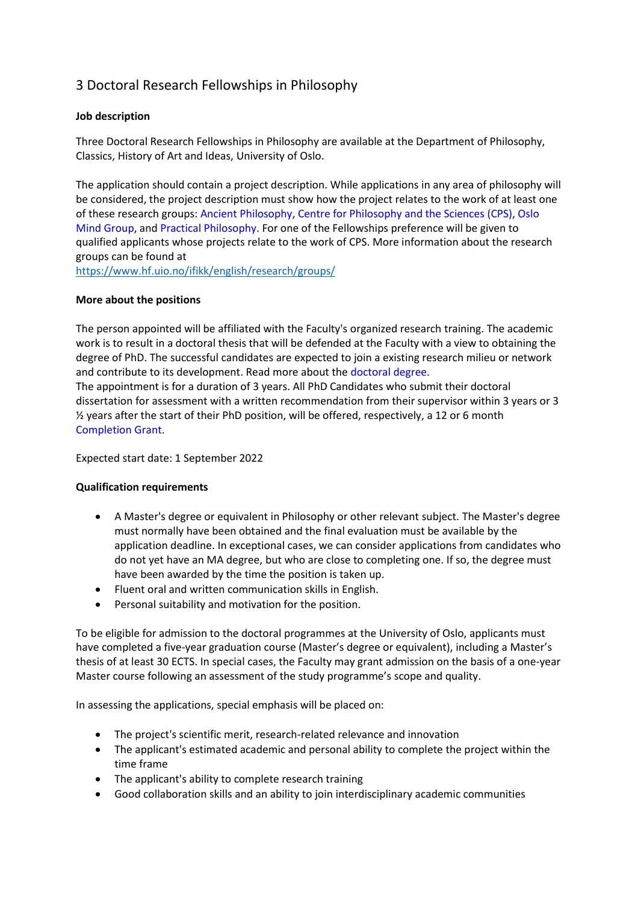# 3 Doctoral Research Fellowships in Philosophy

# **Job description**

Three Doctoral Research Fellowships in Philosophy are available at the Department of Philosophy, Classics, History of Art and Ideas, University of Oslo.

The application should contain a project description. While applications in any area of philosophy will be considered, the project description must show how the project relates to the work of at least one of these research groups: Ancient Philosophy, Centre for Philosophy and the Sciences (CPS), Oslo Mind Group, and Practical Philosophy. For one of the Fellowships preference will be given to qualified applicants whose projects relate to the work of CPS. More information about the research groups can be found at

<https://www.hf.uio.no/ifikk/english/research/groups/>

## **More about the positions**

The person appointed will be affiliated with the Faculty's organized research training. The academic work is to result in a doctoral thesis that will be defended at the Faculty with a view to obtaining the degree of PhD. The successful candidates are expected to join a existing research milieu or network and contribute to its development. Read more about the doctoral degree.

The appointment is for a duration of 3 years. All PhD Candidates who submit their doctoral dissertation for assessment with a written recommendation from their supervisor within 3 years or 3 ½ years after the start of their PhD position, will be offered, respectively, a 12 or 6 month Completion Grant.

Expected start date: 1 September 2022

## **Qualification requirements**

- A Master's degree or equivalent in Philosophy or other relevant subject. The Master's degree must normally have been obtained and the final evaluation must be available by the application deadline. In exceptional cases, we can consider applications from candidates who do not yet have an MA degree, but who are close to completing one. If so, the degree must have been awarded by the time the position is taken up.
- Fluent oral and written communication skills in English.
- Personal suitability and motivation for the position.

To be eligible for admission to the doctoral programmes at the University of Oslo, applicants must have completed a five-year graduation course (Master's degree or equivalent), including a Master's thesis of at least 30 ECTS. In special cases, the Faculty may grant admission on the basis of a one-year Master course following an assessment of the study programme's scope and quality.

In assessing the applications, special emphasis will be placed on:

- The project's scientific merit, research-related relevance and innovation
- The applicant's estimated academic and personal ability to complete the project within the time frame
- The applicant's ability to complete research training
- Good collaboration skills and an ability to join interdisciplinary academic communities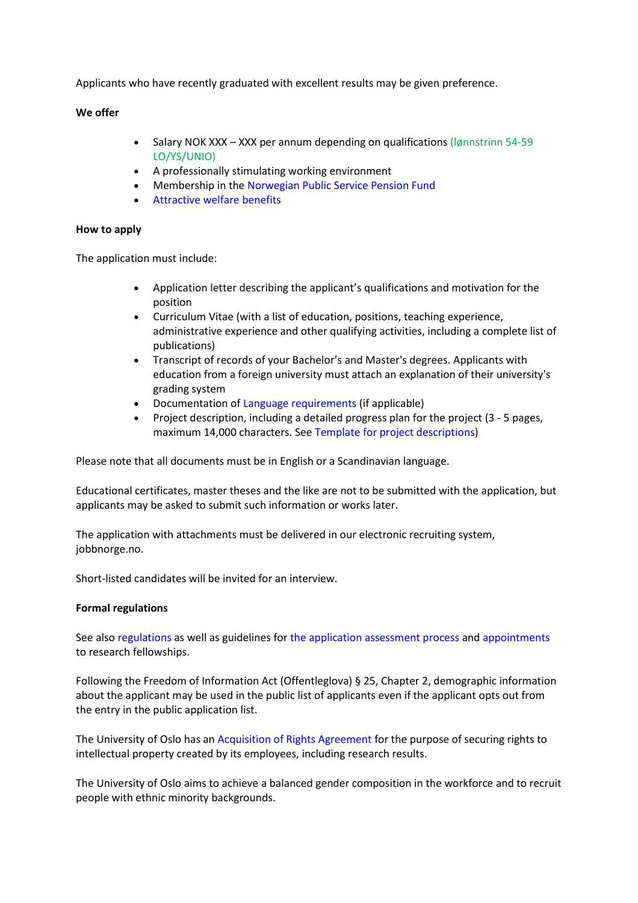Applicants who have recently graduated with excellent results may be given preference.

## **We offer**

- Salary NOK XXX XXX per annum depending on qualifications (Iønnstrinn 54-59 LO/YS/UNIO)
- A professionally stimulating working environment
- Membership in the Norwegian Public Service Pension Fund
- Attractive welfare benefits

#### **How to apply**

The application must include:

- Application letter describing the applicant's qualifications and motivation for the position
- Curriculum Vitae (with a list of education, positions, teaching experience, administrative experience and other qualifying activities, including a complete list of publications)
- Transcript of records of your Bachelor's and Master's degrees. Applicants with education from a foreign university must attach an explanation of their university's grading system
- Documentation of Language requirements (if applicable)
- Project description, including a detailed progress plan for the project (3 5 pages, maximum 14,000 characters. See Template for project descriptions)

Please note that all documents must be in English or a Scandinavian language.

Educational certificates, master theses and the like are not to be submitted with the application, but applicants may be asked to submit such information or works later.

The application with attachments must be delivered in our electronic recruiting system, jobbnorge.no.

Short-listed candidates will be invited for an interview.

#### **Formal regulations**

See also regulations as well as guidelines for the application assessment process and appointments to research fellowships.

Following the Freedom of Information Act (Offentleglova) § 25, Chapter 2, demographic information about the applicant may be used in the public list of applicants even if the applicant opts out from the entry in the public application list.

The University of Oslo has an Acquisition of Rights Agreement for the purpose of securing rights to intellectual property created by its employees, including research results.

The University of Oslo aims to achieve a balanced gender composition in the workforce and to recruit people with ethnic minority backgrounds.